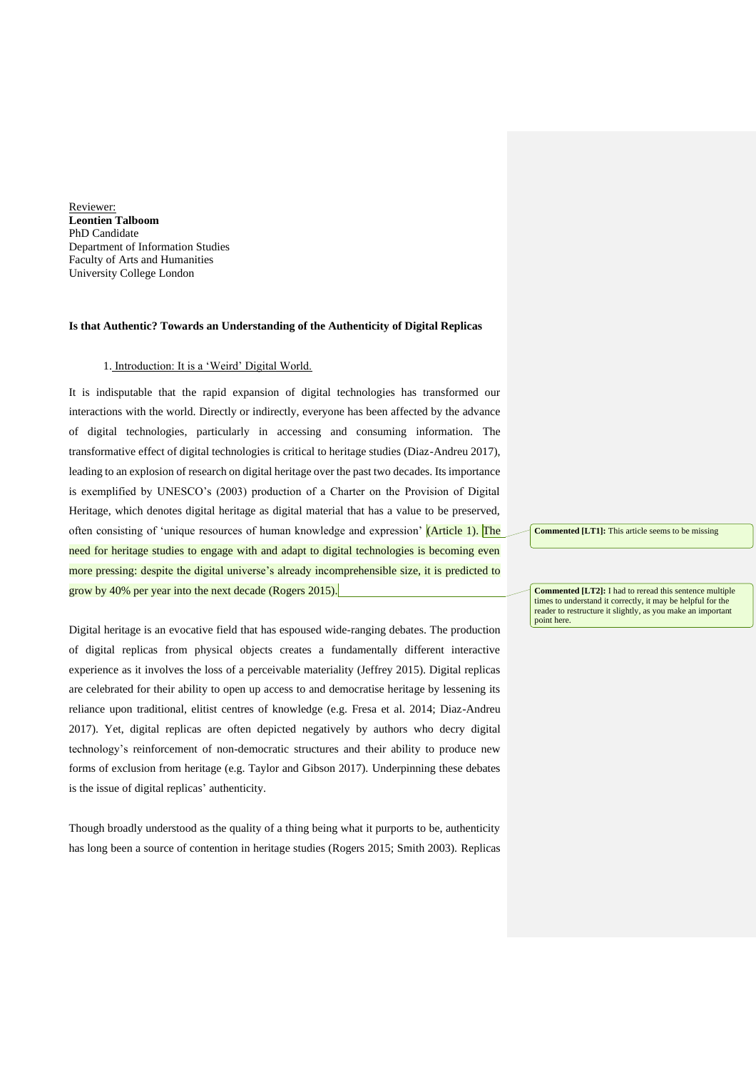Reviewer: **Leontien Talboom** PhD Candidate Department of Information Studies Faculty of Arts and Humanities University College London

## **Is that Authentic? Towards an Understanding of the Authenticity of Digital Replicas**

#### 1. Introduction: It is a 'Weird' Digital World.

It is indisputable that the rapid expansion of digital technologies has transformed our interactions with the world. Directly or indirectly, everyone has been affected by the advance of digital technologies, particularly in accessing and consuming information. The transformative effect of digital technologies is critical to heritage studies (Diaz-Andreu 2017), leading to an explosion of research on digital heritage over the past two decades. Its importance is exemplified by UNESCO's (2003) production of a Charter on the Provision of Digital Heritage, which denotes digital heritage as digital material that has a value to be preserved, often consisting of 'unique resources of human knowledge and expression' (Article 1). The need for heritage studies to engage with and adapt to digital technologies is becoming even more pressing: despite the digital universe's already incomprehensible size, it is predicted to grow by 40% per year into the next decade (Rogers 2015).

Digital heritage is an evocative field that has espoused wide-ranging debates. The production of digital replicas from physical objects creates a fundamentally different interactive experience as it involves the loss of a perceivable materiality (Jeffrey 2015). Digital replicas are celebrated for their ability to open up access to and democratise heritage by lessening its reliance upon traditional, elitist centres of knowledge (e.g. Fresa et al. 2014; Diaz-Andreu 2017). Yet, digital replicas are often depicted negatively by authors who decry digital technology's reinforcement of non-democratic structures and their ability to produce new forms of exclusion from heritage (e.g. Taylor and Gibson 2017). Underpinning these debates is the issue of digital replicas' authenticity.

Though broadly understood as the quality of a thing being what it purports to be, authenticity has long been a source of contention in heritage studies (Rogers 2015; Smith 2003). Replicas **Commented [LT1]:** This article seems to be missing

**Commented [LT2]:** I had to reread this sentence multiple times to understand it correctly, it may be helpful for the reader to restructure it slightly, as you make an important point here.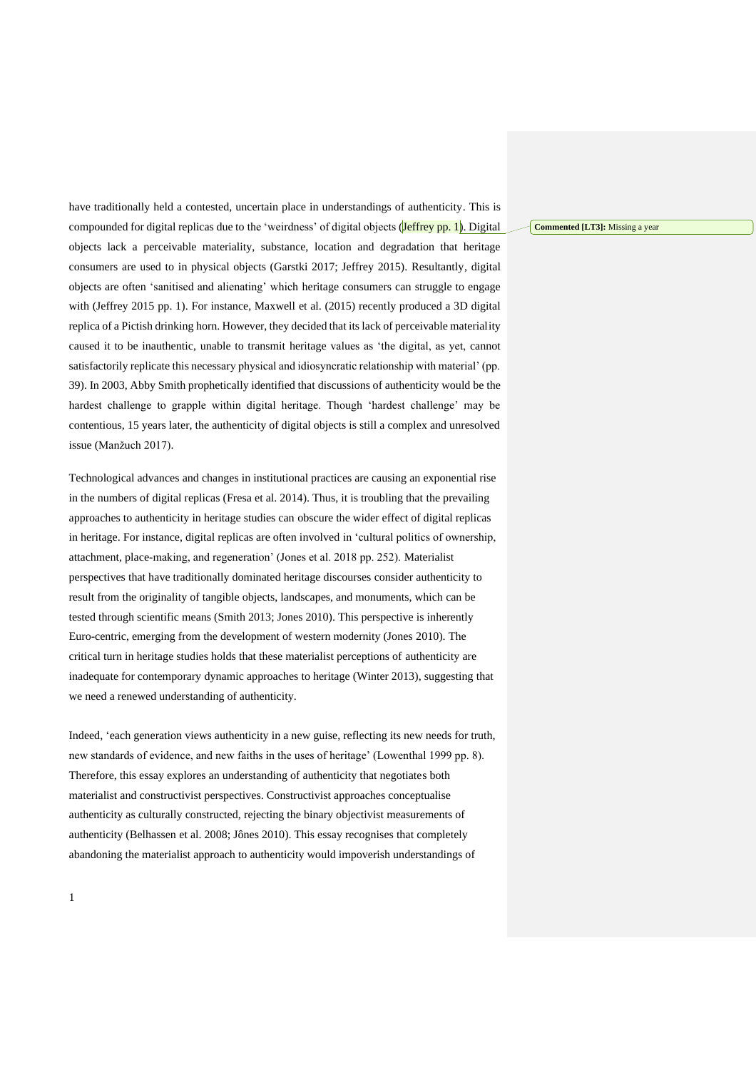have traditionally held a contested, uncertain place in understandings of authenticity. This is compounded for digital replicas due to the 'weirdness' of digital objects (Jeffrey pp. 1). Digital objects lack a perceivable materiality, substance, location and degradation that heritage consumers are used to in physical objects (Garstki 2017; Jeffrey 2015). Resultantly, digital objects are often 'sanitised and alienating' which heritage consumers can struggle to engage with (Jeffrey 2015 pp. 1). For instance, Maxwell et al. (2015) recently produced a 3D digital replica of a Pictish drinking horn. However, they decided that its lack of perceivable materiality caused it to be inauthentic, unable to transmit heritage values as 'the digital, as yet, cannot satisfactorily replicate this necessary physical and idiosyncratic relationship with material' (pp. 39). In 2003, Abby Smith prophetically identified that discussions of authenticity would be the hardest challenge to grapple within digital heritage. Though 'hardest challenge' may be contentious, 15 years later, the authenticity of digital objects is still a complex and unresolved issue (Manžuch 2017).

Technological advances and changes in institutional practices are causing an exponential rise in the numbers of digital replicas (Fresa et al. 2014). Thus, it is troubling that the prevailing approaches to authenticity in heritage studies can obscure the wider effect of digital replicas in heritage. For instance, digital replicas are often involved in 'cultural politics of ownership, attachment, place-making, and regeneration' (Jones et al. 2018 pp. 252). Materialist perspectives that have traditionally dominated heritage discourses consider authenticity to result from the originality of tangible objects, landscapes, and monuments, which can be tested through scientific means (Smith 2013; Jones 2010). This perspective is inherently Euro-centric, emerging from the development of western modernity (Jones 2010). The critical turn in heritage studies holds that these materialist perceptions of authenticity are inadequate for contemporary dynamic approaches to heritage (Winter 2013), suggesting that we need a renewed understanding of authenticity.

Indeed, 'each generation views authenticity in a new guise, reflecting its new needs for truth, new standards of evidence, and new faiths in the uses of heritage' (Lowenthal 1999 pp. 8). Therefore, this essay explores an understanding of authenticity that negotiates both materialist and constructivist perspectives. Constructivist approaches conceptualise authenticity as culturally constructed, rejecting the binary objectivist measurements of authenticity (Belhassen et al. 2008; Jônes 2010). This essay recognises that completely abandoning the materialist approach to authenticity would impoverish understandings of

**Commented [LT3]:** Missing a year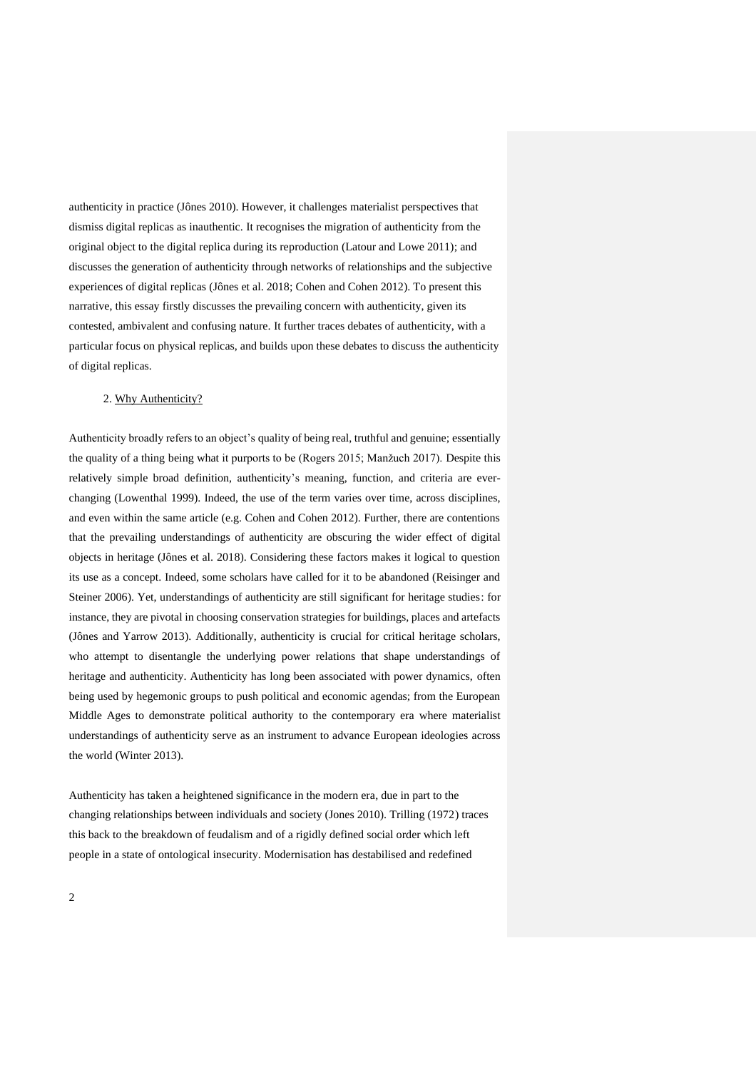authenticity in practice (Jônes 2010). However, it challenges materialist perspectives that dismiss digital replicas as inauthentic. It recognises the migration of authenticity from the original object to the digital replica during its reproduction (Latour and Lowe 2011); and discusses the generation of authenticity through networks of relationships and the subjective experiences of digital replicas (Jônes et al. 2018; Cohen and Cohen 2012). To present this narrative, this essay firstly discusses the prevailing concern with authenticity, given its contested, ambivalent and confusing nature. It further traces debates of authenticity, with a particular focus on physical replicas, and builds upon these debates to discuss the authenticity of digital replicas.

## 2. Why Authenticity?

Authenticity broadly refers to an object's quality of being real, truthful and genuine; essentially the quality of a thing being what it purports to be (Rogers 2015; Manžuch 2017). Despite this relatively simple broad definition, authenticity's meaning, function, and criteria are everchanging (Lowenthal 1999). Indeed, the use of the term varies over time, across disciplines, and even within the same article (e.g. Cohen and Cohen 2012). Further, there are contentions that the prevailing understandings of authenticity are obscuring the wider effect of digital objects in heritage (Jônes et al. 2018). Considering these factors makes it logical to question its use as a concept. Indeed, some scholars have called for it to be abandoned (Reisinger and Steiner 2006). Yet, understandings of authenticity are still significant for heritage studies: for instance, they are pivotal in choosing conservation strategies for buildings, places and artefacts (Jônes and Yarrow 2013). Additionally, authenticity is crucial for critical heritage scholars, who attempt to disentangle the underlying power relations that shape understandings of heritage and authenticity. Authenticity has long been associated with power dynamics, often being used by hegemonic groups to push political and economic agendas; from the European Middle Ages to demonstrate political authority to the contemporary era where materialist understandings of authenticity serve as an instrument to advance European ideologies across the world (Winter 2013).

Authenticity has taken a heightened significance in the modern era, due in part to the changing relationships between individuals and society (Jones 2010). Trilling (1972) traces this back to the breakdown of feudalism and of a rigidly defined social order which left people in a state of ontological insecurity. Modernisation has destabilised and redefined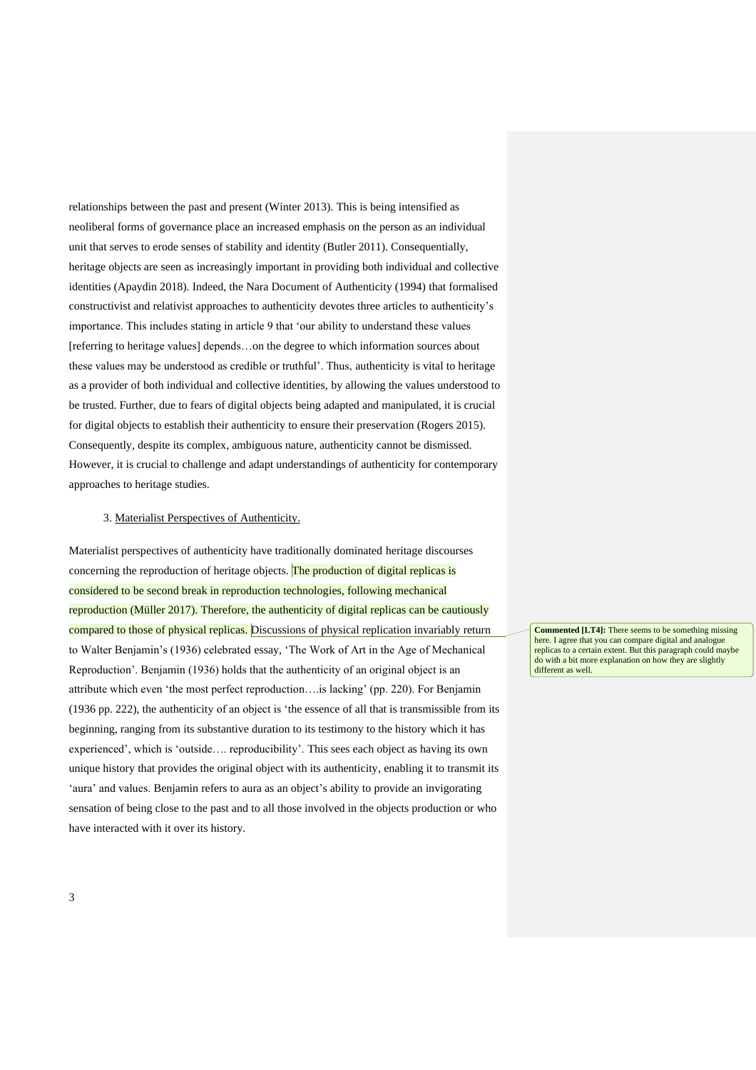relationships between the past and present (Winter 2013). This is being intensified as neoliberal forms of governance place an increased emphasis on the person as an individual unit that serves to erode senses of stability and identity (Butler 2011). Consequentially, heritage objects are seen as increasingly important in providing both individual and collective identities (Apaydin 2018). Indeed, the Nara Document of Authenticity (1994) that formalised constructivist and relativist approaches to authenticity devotes three articles to authenticity's importance. This includes stating in article 9 that 'our ability to understand these values [referring to heritage values] depends…on the degree to which information sources about these values may be understood as credible or truthful'. Thus, authenticity is vital to heritage as a provider of both individual and collective identities, by allowing the values understood to be trusted. Further, due to fears of digital objects being adapted and manipulated, it is crucial for digital objects to establish their authenticity to ensure their preservation (Rogers 2015). Consequently, despite its complex, ambiguous nature, authenticity cannot be dismissed. However, it is crucial to challenge and adapt understandings of authenticity for contemporary approaches to heritage studies.

## 3. Materialist Perspectives of Authenticity.

Materialist perspectives of authenticity have traditionally dominated heritage discourses concerning the reproduction of heritage objects. The production of digital replicas is considered to be second break in reproduction technologies, following mechanical reproduction (Müller 2017). Therefore, the authenticity of digital replicas can be cautiously compared to those of physical replicas. Discussions of physical replication invariably return to Walter Benjamin's (1936) celebrated essay, 'The Work of Art in the Age of Mechanical Reproduction'. Benjamin (1936) holds that the authenticity of an original object is an attribute which even 'the most perfect reproduction….is lacking' (pp. 220). For Benjamin (1936 pp. 222), the authenticity of an object is 'the essence of all that is transmissible from its beginning, ranging from its substantive duration to its testimony to the history which it has experienced', which is 'outside…. reproducibility'. This sees each object as having its own unique history that provides the original object with its authenticity, enabling it to transmit its 'aura' and values. Benjamin refers to aura as an object's ability to provide an invigorating sensation of being close to the past and to all those involved in the objects production or who have interacted with it over its history.

**Commented [LT4]:** There seems to be something missing here. I agree that you can compare digital and analogue replicas to a certain extent. But this paragraph could maybe do with a bit more explanation on how they are slightly different as well.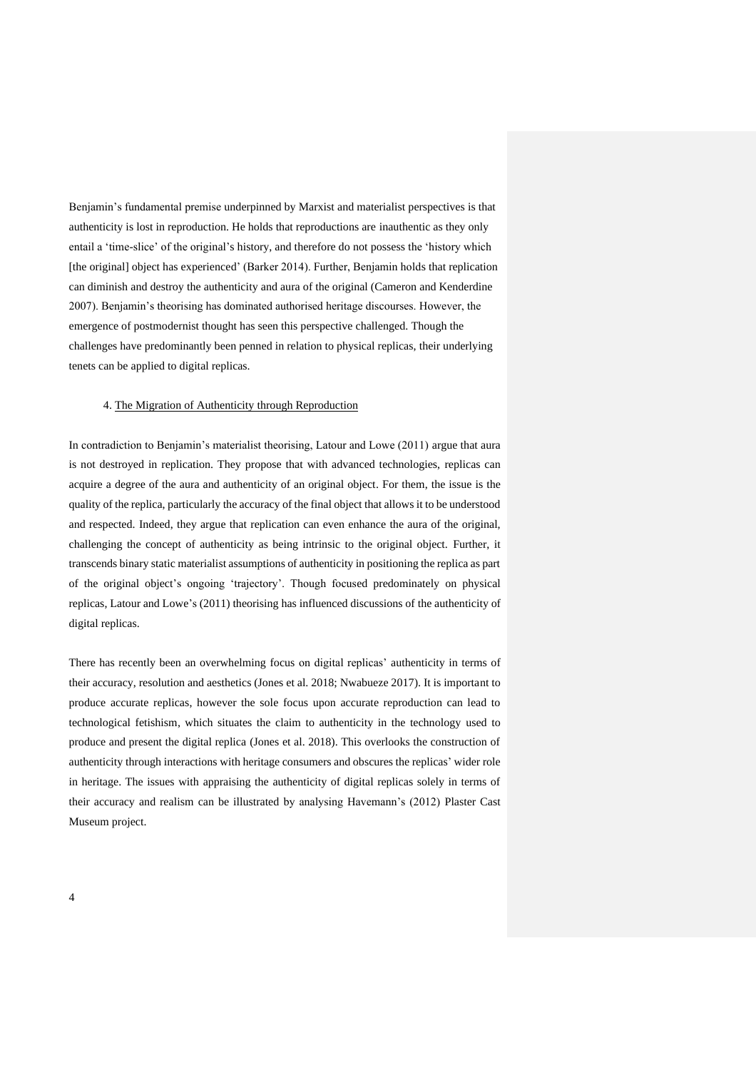Benjamin's fundamental premise underpinned by Marxist and materialist perspectives is that authenticity is lost in reproduction. He holds that reproductions are inauthentic as they only entail a 'time-slice' of the original's history, and therefore do not possess the 'history which [the original] object has experienced' (Barker 2014). Further, Benjamin holds that replication can diminish and destroy the authenticity and aura of the original (Cameron and Kenderdine 2007). Benjamin's theorising has dominated authorised heritage discourses. However, the emergence of postmodernist thought has seen this perspective challenged. Though the challenges have predominantly been penned in relation to physical replicas, their underlying tenets can be applied to digital replicas.

#### 4. The Migration of Authenticity through Reproduction

In contradiction to Benjamin's materialist theorising, Latour and Lowe (2011) argue that aura is not destroyed in replication. They propose that with advanced technologies, replicas can acquire a degree of the aura and authenticity of an original object. For them, the issue is the quality of the replica, particularly the accuracy of the final object that allows it to be understood and respected. Indeed, they argue that replication can even enhance the aura of the original, challenging the concept of authenticity as being intrinsic to the original object. Further, it transcends binary static materialist assumptions of authenticity in positioning the replica as part of the original object's ongoing 'trajectory'. Though focused predominately on physical replicas, Latour and Lowe's (2011) theorising has influenced discussions of the authenticity of digital replicas.

There has recently been an overwhelming focus on digital replicas' authenticity in terms of their accuracy, resolution and aesthetics (Jones et al. 2018; Nwabueze 2017). It is important to produce accurate replicas, however the sole focus upon accurate reproduction can lead to technological fetishism, which situates the claim to authenticity in the technology used to produce and present the digital replica (Jones et al. 2018). This overlooks the construction of authenticity through interactions with heritage consumers and obscures the replicas' wider role in heritage. The issues with appraising the authenticity of digital replicas solely in terms of their accuracy and realism can be illustrated by analysing Havemann's (2012) Plaster Cast Museum project.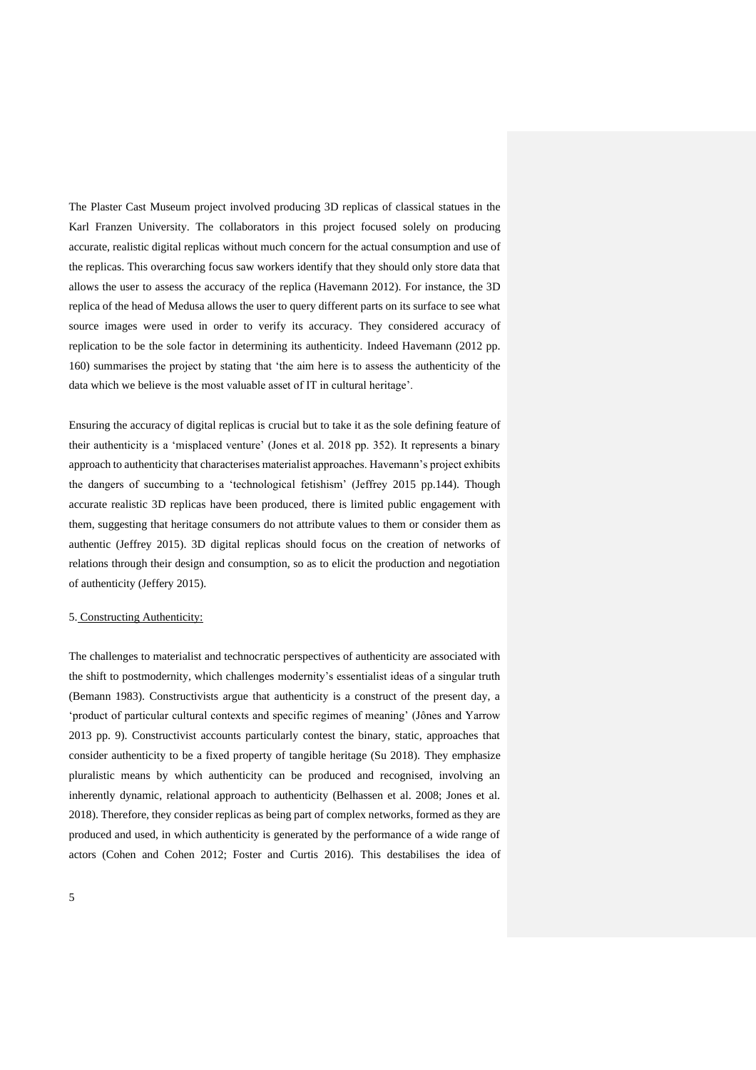The Plaster Cast Museum project involved producing 3D replicas of classical statues in the Karl Franzen University. The collaborators in this project focused solely on producing accurate, realistic digital replicas without much concern for the actual consumption and use of the replicas. This overarching focus saw workers identify that they should only store data that allows the user to assess the accuracy of the replica (Havemann 2012). For instance, the 3D replica of the head of Medusa allows the user to query different parts on its surface to see what source images were used in order to verify its accuracy. They considered accuracy of replication to be the sole factor in determining its authenticity. Indeed Havemann (2012 pp. 160) summarises the project by stating that 'the aim here is to assess the authenticity of the data which we believe is the most valuable asset of IT in cultural heritage'.

Ensuring the accuracy of digital replicas is crucial but to take it as the sole defining feature of their authenticity is a 'misplaced venture' (Jones et al. 2018 pp. 352). It represents a binary approach to authenticity that characterises materialist approaches. Havemann's project exhibits the dangers of succumbing to a 'technological fetishism' (Jeffrey 2015 pp.144). Though accurate realistic 3D replicas have been produced, there is limited public engagement with them, suggesting that heritage consumers do not attribute values to them or consider them as authentic (Jeffrey 2015). 3D digital replicas should focus on the creation of networks of relations through their design and consumption, so as to elicit the production and negotiation of authenticity (Jeffery 2015).

# 5. Constructing Authenticity:

The challenges to materialist and technocratic perspectives of authenticity are associated with the shift to postmodernity, which challenges modernity's essentialist ideas of a singular truth (Bemann 1983). Constructivists argue that authenticity is a construct of the present day, a 'product of particular cultural contexts and specific regimes of meaning' (Jônes and Yarrow 2013 pp. 9). Constructivist accounts particularly contest the binary, static, approaches that consider authenticity to be a fixed property of tangible heritage (Su 2018). They emphasize pluralistic means by which authenticity can be produced and recognised, involving an inherently dynamic, relational approach to authenticity (Belhassen et al. 2008; Jones et al. 2018). Therefore, they consider replicas as being part of complex networks, formed as they are produced and used, in which authenticity is generated by the performance of a wide range of actors (Cohen and Cohen 2012; Foster and Curtis 2016). This destabilises the idea of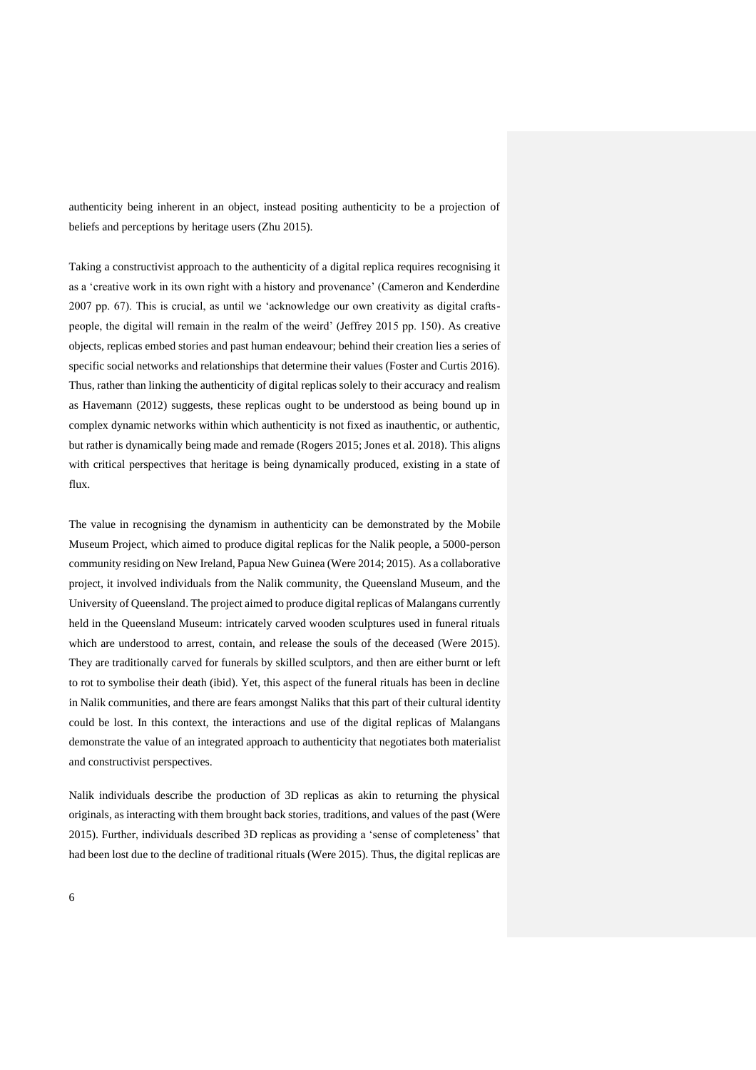authenticity being inherent in an object, instead positing authenticity to be a projection of beliefs and perceptions by heritage users (Zhu 2015).

Taking a constructivist approach to the authenticity of a digital replica requires recognising it as a 'creative work in its own right with a history and provenance' (Cameron and Kenderdine 2007 pp. 67). This is crucial, as until we 'acknowledge our own creativity as digital craftspeople, the digital will remain in the realm of the weird' (Jeffrey 2015 pp. 150). As creative objects, replicas embed stories and past human endeavour; behind their creation lies a series of specific social networks and relationships that determine their values (Foster and Curtis 2016). Thus, rather than linking the authenticity of digital replicas solely to their accuracy and realism as Havemann (2012) suggests, these replicas ought to be understood as being bound up in complex dynamic networks within which authenticity is not fixed as inauthentic, or authentic, but rather is dynamically being made and remade (Rogers 2015; Jones et al. 2018). This aligns with critical perspectives that heritage is being dynamically produced, existing in a state of flux.

The value in recognising the dynamism in authenticity can be demonstrated by the Mobile Museum Project, which aimed to produce digital replicas for the Nalik people, a 5000-person community residing on New Ireland, Papua New Guinea (Were 2014; 2015). As a collaborative project, it involved individuals from the Nalik community, the Queensland Museum, and the University of Queensland. The project aimed to produce digital replicas of Malangans currently held in the Queensland Museum: intricately carved wooden sculptures used in funeral rituals which are understood to arrest, contain, and release the souls of the deceased (Were 2015). They are traditionally carved for funerals by skilled sculptors, and then are either burnt or left to rot to symbolise their death (ibid). Yet, this aspect of the funeral rituals has been in decline in Nalik communities, and there are fears amongst Naliks that this part of their cultural identity could be lost. In this context, the interactions and use of the digital replicas of Malangans demonstrate the value of an integrated approach to authenticity that negotiates both materialist and constructivist perspectives.

Nalik individuals describe the production of 3D replicas as akin to returning the physical originals, as interacting with them brought back stories, traditions, and values of the past (Were 2015). Further, individuals described 3D replicas as providing a 'sense of completeness' that had been lost due to the decline of traditional rituals (Were 2015). Thus, the digital replicas are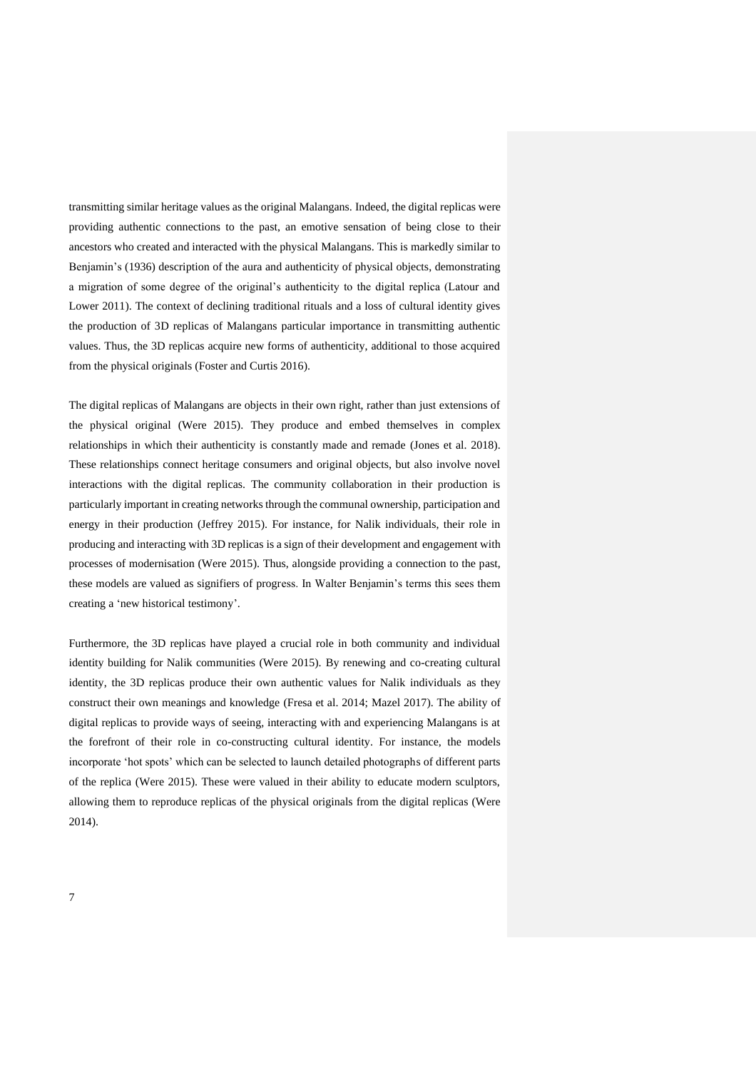transmitting similar heritage values as the original Malangans. Indeed, the digital replicas were providing authentic connections to the past, an emotive sensation of being close to their ancestors who created and interacted with the physical Malangans. This is markedly similar to Benjamin's (1936) description of the aura and authenticity of physical objects, demonstrating a migration of some degree of the original's authenticity to the digital replica (Latour and Lower 2011). The context of declining traditional rituals and a loss of cultural identity gives the production of 3D replicas of Malangans particular importance in transmitting authentic values. Thus, the 3D replicas acquire new forms of authenticity, additional to those acquired from the physical originals (Foster and Curtis 2016).

The digital replicas of Malangans are objects in their own right, rather than just extensions of the physical original (Were 2015). They produce and embed themselves in complex relationships in which their authenticity is constantly made and remade (Jones et al. 2018). These relationships connect heritage consumers and original objects, but also involve novel interactions with the digital replicas. The community collaboration in their production is particularly important in creating networks through the communal ownership, participation and energy in their production (Jeffrey 2015). For instance, for Nalik individuals, their role in producing and interacting with 3D replicas is a sign of their development and engagement with processes of modernisation (Were 2015). Thus, alongside providing a connection to the past, these models are valued as signifiers of progress. In Walter Benjamin's terms this sees them creating a 'new historical testimony'.

Furthermore, the 3D replicas have played a crucial role in both community and individual identity building for Nalik communities (Were 2015). By renewing and co-creating cultural identity, the 3D replicas produce their own authentic values for Nalik individuals as they construct their own meanings and knowledge (Fresa et al. 2014; Mazel 2017). The ability of digital replicas to provide ways of seeing, interacting with and experiencing Malangans is at the forefront of their role in co-constructing cultural identity. For instance, the models incorporate 'hot spots' which can be selected to launch detailed photographs of different parts of the replica (Were 2015). These were valued in their ability to educate modern sculptors, allowing them to reproduce replicas of the physical originals from the digital replicas (Were 2014).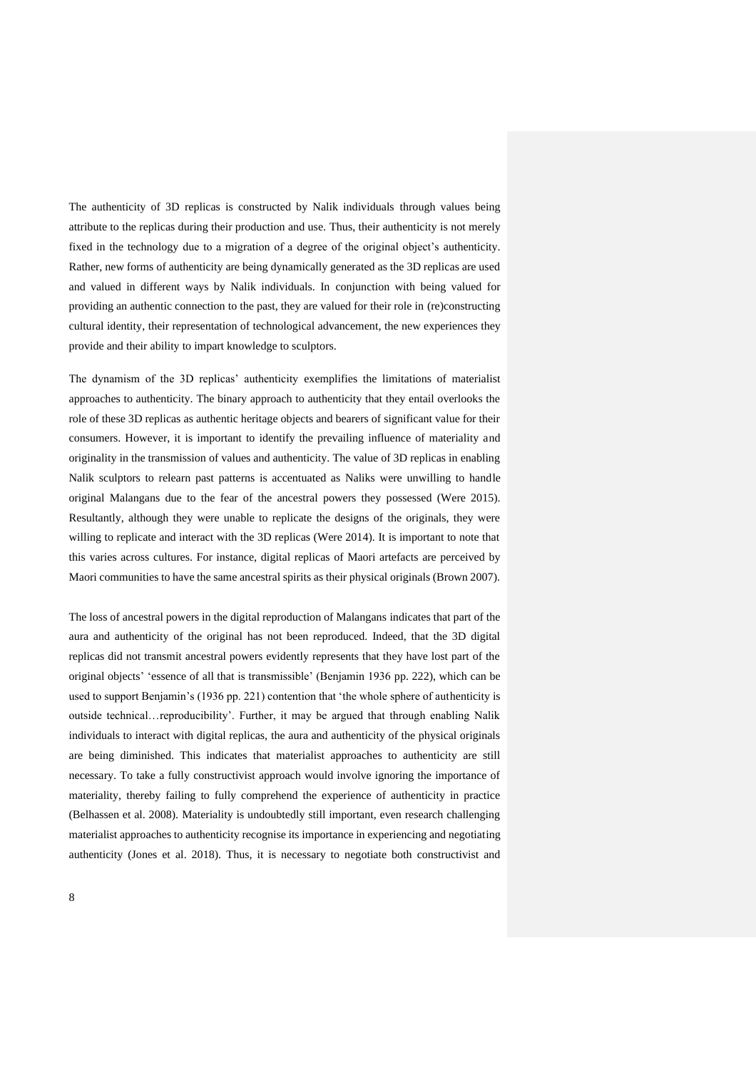The authenticity of 3D replicas is constructed by Nalik individuals through values being attribute to the replicas during their production and use. Thus, their authenticity is not merely fixed in the technology due to a migration of a degree of the original object's authenticity. Rather, new forms of authenticity are being dynamically generated as the 3D replicas are used and valued in different ways by Nalik individuals. In conjunction with being valued for providing an authentic connection to the past, they are valued for their role in (re)constructing cultural identity, their representation of technological advancement, the new experiences they provide and their ability to impart knowledge to sculptors.

The dynamism of the 3D replicas' authenticity exemplifies the limitations of materialist approaches to authenticity. The binary approach to authenticity that they entail overlooks the role of these 3D replicas as authentic heritage objects and bearers of significant value for their consumers. However, it is important to identify the prevailing influence of materiality and originality in the transmission of values and authenticity. The value of 3D replicas in enabling Nalik sculptors to relearn past patterns is accentuated as Naliks were unwilling to handle original Malangans due to the fear of the ancestral powers they possessed (Were 2015). Resultantly, although they were unable to replicate the designs of the originals, they were willing to replicate and interact with the 3D replicas (Were 2014). It is important to note that this varies across cultures. For instance, digital replicas of Maori artefacts are perceived by Maori communities to have the same ancestral spirits as their physical originals (Brown 2007).

The loss of ancestral powers in the digital reproduction of Malangans indicates that part of the aura and authenticity of the original has not been reproduced. Indeed, that the 3D digital replicas did not transmit ancestral powers evidently represents that they have lost part of the original objects' 'essence of all that is transmissible' (Benjamin 1936 pp. 222), which can be used to support Benjamin's (1936 pp. 221) contention that 'the whole sphere of authenticity is outside technical…reproducibility'. Further, it may be argued that through enabling Nalik individuals to interact with digital replicas, the aura and authenticity of the physical originals are being diminished. This indicates that materialist approaches to authenticity are still necessary. To take a fully constructivist approach would involve ignoring the importance of materiality, thereby failing to fully comprehend the experience of authenticity in practice (Belhassen et al. 2008). Materiality is undoubtedly still important, even research challenging materialist approaches to authenticity recognise its importance in experiencing and negotiating authenticity (Jones et al. 2018). Thus, it is necessary to negotiate both constructivist and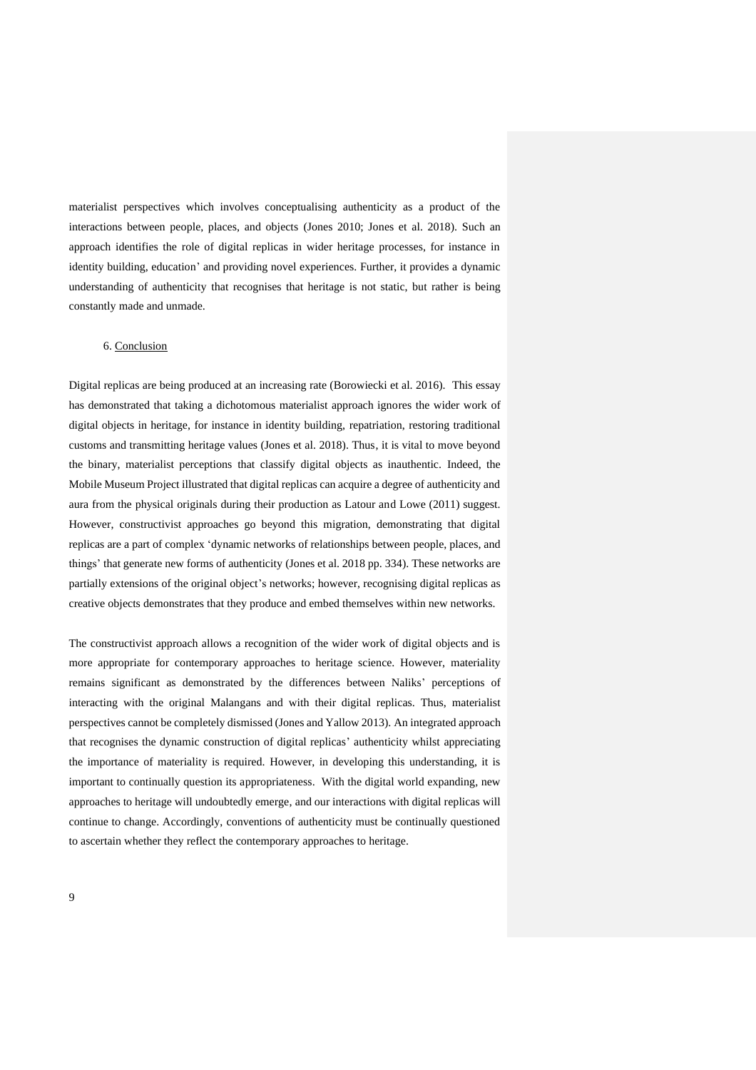materialist perspectives which involves conceptualising authenticity as a product of the interactions between people, places, and objects (Jones 2010; Jones et al. 2018). Such an approach identifies the role of digital replicas in wider heritage processes, for instance in identity building, education' and providing novel experiences. Further, it provides a dynamic understanding of authenticity that recognises that heritage is not static, but rather is being constantly made and unmade.

# 6. Conclusion

Digital replicas are being produced at an increasing rate (Borowiecki et al. 2016). This essay has demonstrated that taking a dichotomous materialist approach ignores the wider work of digital objects in heritage, for instance in identity building, repatriation, restoring traditional customs and transmitting heritage values (Jones et al. 2018). Thus, it is vital to move beyond the binary, materialist perceptions that classify digital objects as inauthentic. Indeed, the Mobile Museum Project illustrated that digital replicas can acquire a degree of authenticity and aura from the physical originals during their production as Latour and Lowe (2011) suggest. However, constructivist approaches go beyond this migration, demonstrating that digital replicas are a part of complex 'dynamic networks of relationships between people, places, and things' that generate new forms of authenticity (Jones et al. 2018 pp. 334). These networks are partially extensions of the original object's networks; however, recognising digital replicas as creative objects demonstrates that they produce and embed themselves within new networks.

The constructivist approach allows a recognition of the wider work of digital objects and is more appropriate for contemporary approaches to heritage science. However, materiality remains significant as demonstrated by the differences between Naliks' perceptions of interacting with the original Malangans and with their digital replicas. Thus, materialist perspectives cannot be completely dismissed (Jones and Yallow 2013). An integrated approach that recognises the dynamic construction of digital replicas' authenticity whilst appreciating the importance of materiality is required. However, in developing this understanding, it is important to continually question its appropriateness. With the digital world expanding, new approaches to heritage will undoubtedly emerge, and our interactions with digital replicas will continue to change. Accordingly, conventions of authenticity must be continually questioned to ascertain whether they reflect the contemporary approaches to heritage.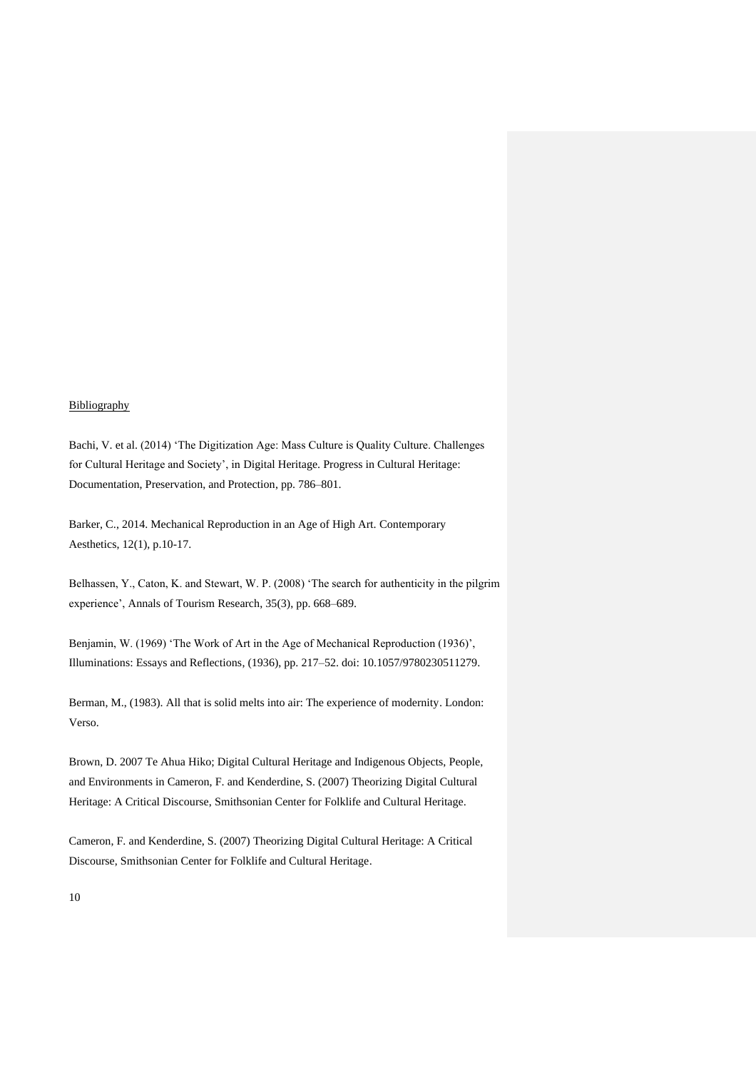#### **Bibliography**

Bachi, V. et al. (2014) 'The Digitization Age: Mass Culture is Quality Culture. Challenges for Cultural Heritage and Society', in Digital Heritage. Progress in Cultural Heritage: Documentation, Preservation, and Protection, pp. 786–801.

Barker, C., 2014. Mechanical Reproduction in an Age of High Art. Contemporary Aesthetics, 12(1), p.10-17.

Belhassen, Y., Caton, K. and Stewart, W. P. (2008) 'The search for authenticity in the pilgrim experience', Annals of Tourism Research, 35(3), pp. 668–689.

Benjamin, W. (1969) 'The Work of Art in the Age of Mechanical Reproduction (1936)', Illuminations: Essays and Reflections, (1936), pp. 217–52. doi: 10.1057/9780230511279.

Berman, M., (1983). All that is solid melts into air: The experience of modernity. London: Verso.

Brown, D. 2007 Te Ahua Hiko; Digital Cultural Heritage and Indigenous Objects, People, and Environments in Cameron, F. and Kenderdine, S. (2007) Theorizing Digital Cultural Heritage: A Critical Discourse, Smithsonian Center for Folklife and Cultural Heritage.

Cameron, F. and Kenderdine, S. (2007) Theorizing Digital Cultural Heritage: A Critical Discourse, Smithsonian Center for Folklife and Cultural Heritage.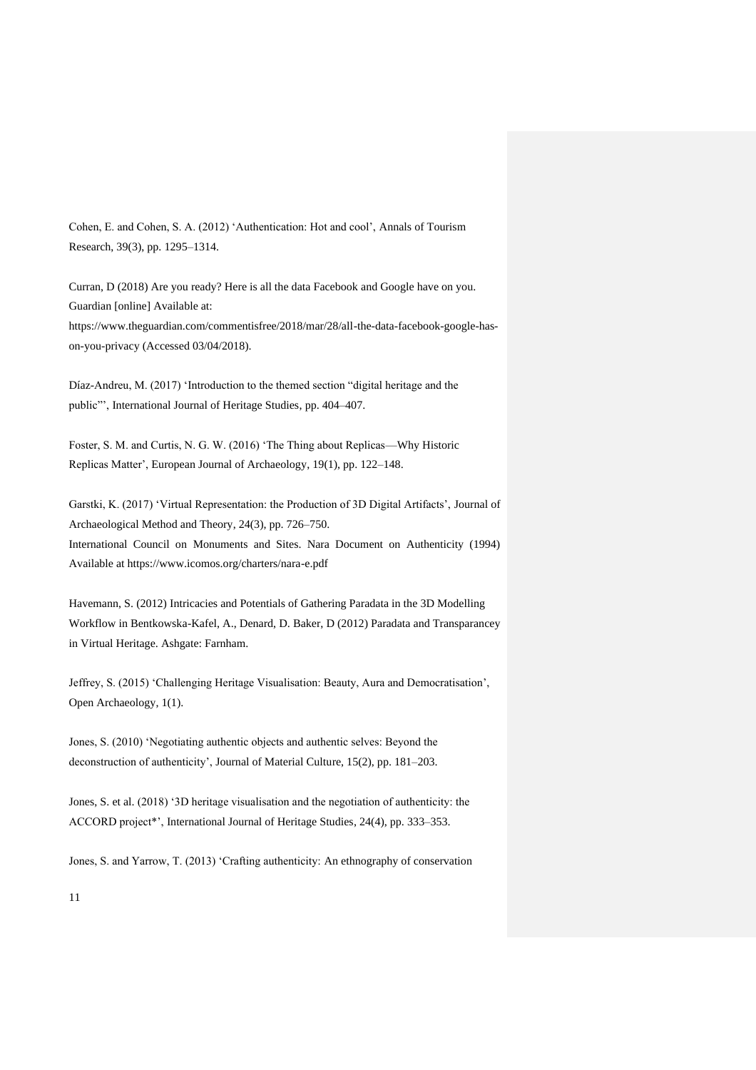Cohen, E. and Cohen, S. A. (2012) 'Authentication: Hot and cool', Annals of Tourism Research, 39(3), pp. 1295–1314.

Curran, D (2018) Are you ready? Here is all the data Facebook and Google have on you. Guardian [online] Available at: https://www.theguardian.com/commentisfree/2018/mar/28/all-the-data-facebook-google-hason-you-privacy (Accessed 03/04/2018).

Díaz-Andreu, M. (2017) 'Introduction to the themed section "digital heritage and the public"', International Journal of Heritage Studies, pp. 404–407.

Foster, S. M. and Curtis, N. G. W. (2016) 'The Thing about Replicas—Why Historic Replicas Matter', European Journal of Archaeology, 19(1), pp. 122–148.

Garstki, K. (2017) 'Virtual Representation: the Production of 3D Digital Artifacts', Journal of Archaeological Method and Theory, 24(3), pp. 726–750. International Council on Monuments and Sites. Nara Document on Authenticity (1994) Available at https://www.icomos.org/charters/nara-e.pdf

Havemann, S. (2012) Intricacies and Potentials of Gathering Paradata in the 3D Modelling Workflow in Bentkowska-Kafel, A., Denard, D. Baker, D (2012) Paradata and Transparancey in Virtual Heritage. Ashgate: Farnham.

Jeffrey, S. (2015) 'Challenging Heritage Visualisation: Beauty, Aura and Democratisation', Open Archaeology, 1(1).

Jones, S. (2010) 'Negotiating authentic objects and authentic selves: Beyond the deconstruction of authenticity', Journal of Material Culture, 15(2), pp. 181–203.

Jones, S. et al. (2018) '3D heritage visualisation and the negotiation of authenticity: the ACCORD project\*', International Journal of Heritage Studies, 24(4), pp. 333–353.

Jones, S. and Yarrow, T. (2013) 'Crafting authenticity: An ethnography of conservation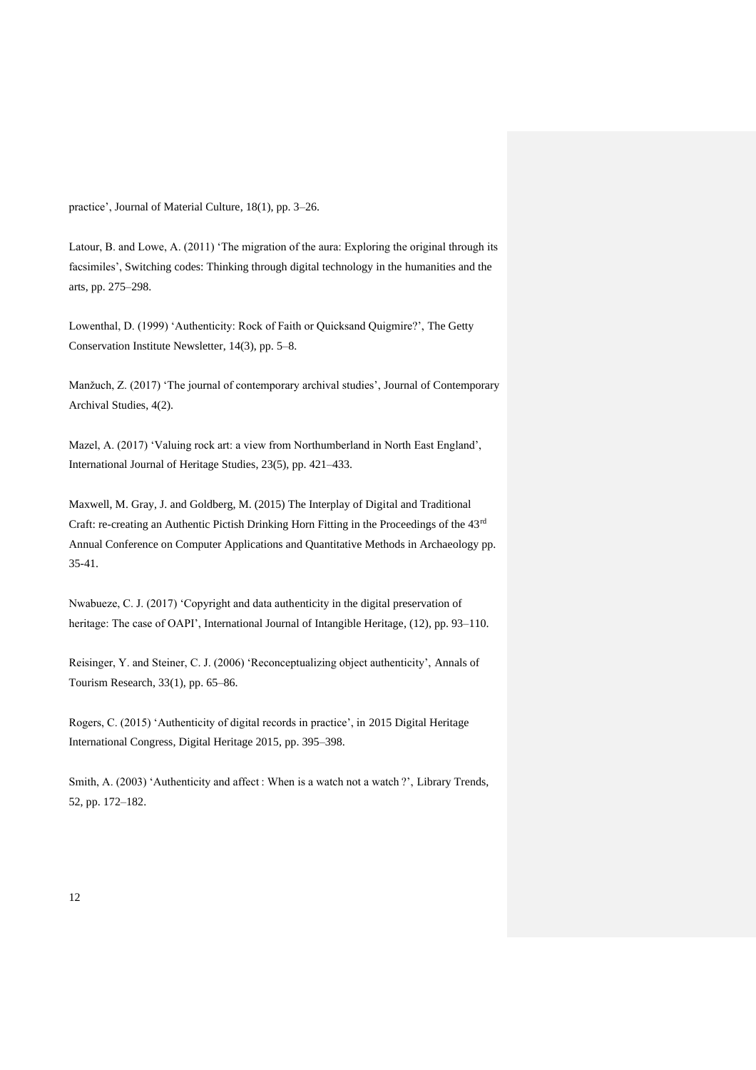practice', Journal of Material Culture, 18(1), pp. 3–26.

Latour, B. and Lowe, A. (2011) 'The migration of the aura: Exploring the original through its facsimiles', Switching codes: Thinking through digital technology in the humanities and the arts, pp. 275–298.

Lowenthal, D. (1999) 'Authenticity: Rock of Faith or Quicksand Quigmire?', The Getty Conservation Institute Newsletter, 14(3), pp. 5–8.

Manžuch, Z. (2017) 'The journal of contemporary archival studies', Journal of Contemporary Archival Studies, 4(2).

Mazel, A. (2017) 'Valuing rock art: a view from Northumberland in North East England', International Journal of Heritage Studies, 23(5), pp. 421–433.

Maxwell, M. Gray, J. and Goldberg, M. (2015) The Interplay of Digital and Traditional Craft: re-creating an Authentic Pictish Drinking Horn Fitting in the Proceedings of the 43rd Annual Conference on Computer Applications and Quantitative Methods in Archaeology pp. 35-41.

Nwabueze, C. J. (2017) 'Copyright and data authenticity in the digital preservation of heritage: The case of OAPI', International Journal of Intangible Heritage, (12), pp. 93-110.

Reisinger, Y. and Steiner, C. J. (2006) 'Reconceptualizing object authenticity', Annals of Tourism Research, 33(1), pp. 65–86.

Rogers, C. (2015) 'Authenticity of digital records in practice', in 2015 Digital Heritage International Congress, Digital Heritage 2015, pp. 395–398.

Smith, A. (2003) 'Authenticity and affect : When is a watch not a watch ?', Library Trends, 52, pp. 172–182.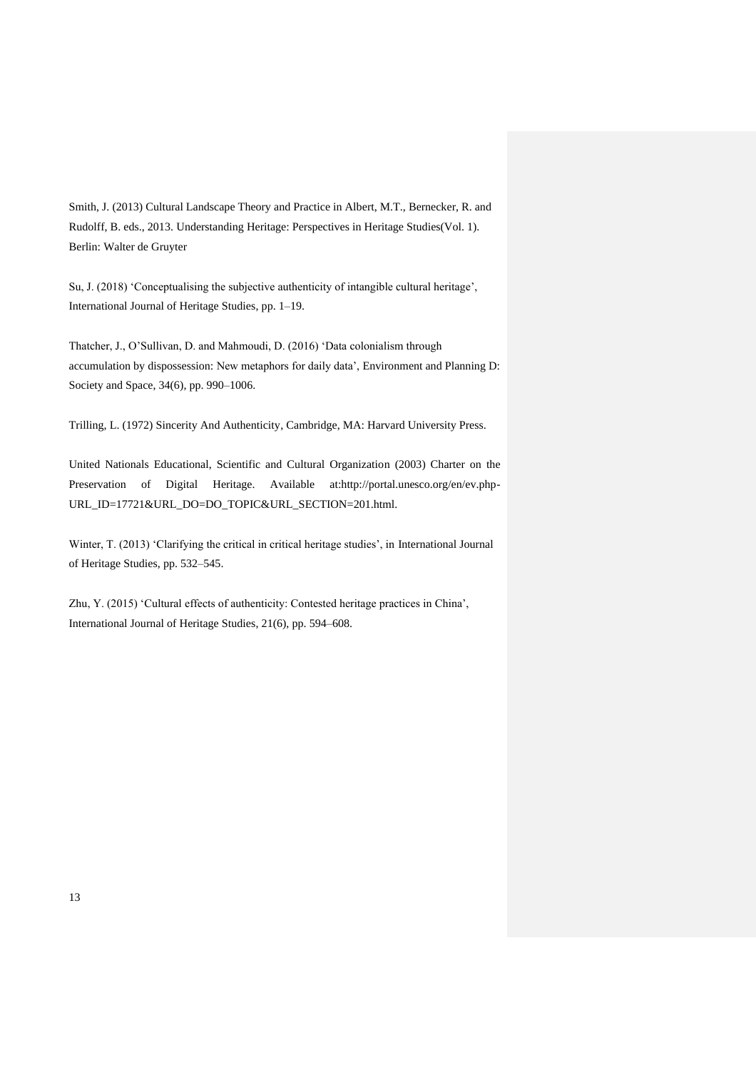Smith, J. (2013) Cultural Landscape Theory and Practice in Albert, M.T., Bernecker, R. and Rudolff, B. eds., 2013. Understanding Heritage: Perspectives in Heritage Studies(Vol. 1). Berlin: Walter de Gruyter

Su, J. (2018) 'Conceptualising the subjective authenticity of intangible cultural heritage', International Journal of Heritage Studies, pp. 1–19.

Thatcher, J., O'Sullivan, D. and Mahmoudi, D. (2016) 'Data colonialism through accumulation by dispossession: New metaphors for daily data', Environment and Planning D: Society and Space, 34(6), pp. 990–1006.

Trilling, L. (1972) Sincerity And Authenticity, Cambridge, MA: Harvard University Press.

United Nationals Educational, Scientific and Cultural Organization (2003) Charter on the Preservation of Digital Heritage. Available at:http://portal.unesco.org/en/ev.php-URL\_ID=17721&URL\_DO=DO\_TOPIC&URL\_SECTION=201.html.

Winter, T. (2013) 'Clarifying the critical in critical heritage studies', in International Journal of Heritage Studies, pp. 532–545.

Zhu, Y. (2015) 'Cultural effects of authenticity: Contested heritage practices in China', International Journal of Heritage Studies, 21(6), pp. 594–608.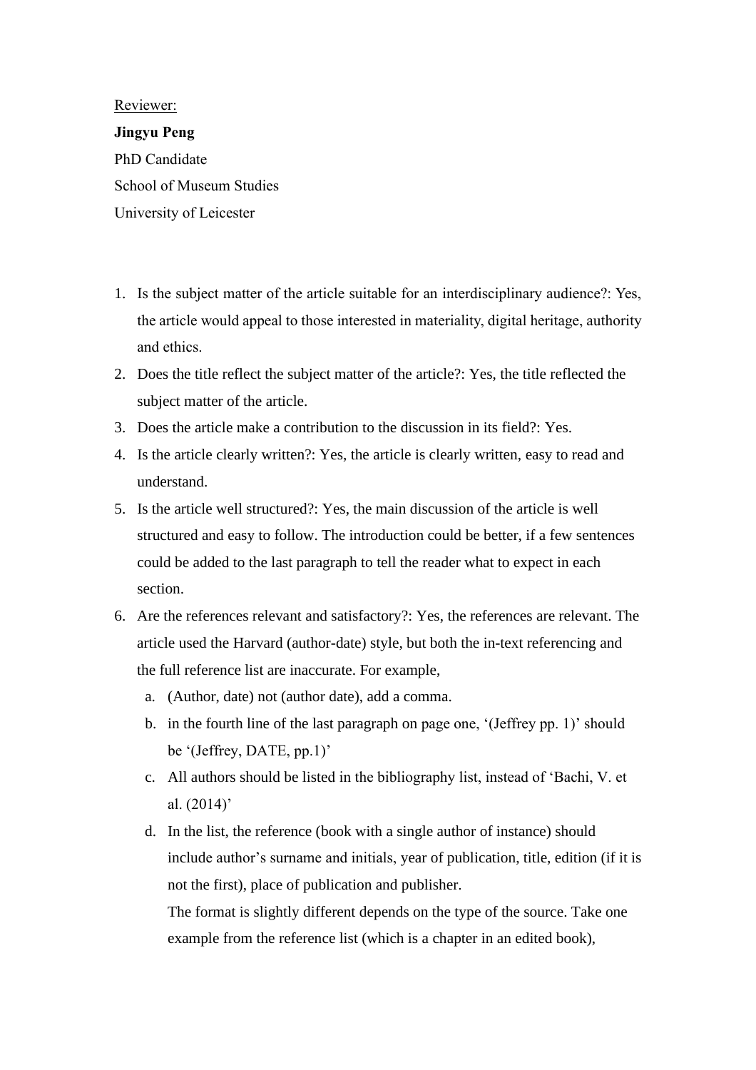Reviewer:

**Jingyu Peng** PhD Candidate School of Museum Studies University of Leicester

- 1. Is the subject matter of the article suitable for an interdisciplinary audience?: Yes, the article would appeal to those interested in materiality, digital heritage, authority and ethics.
- 2. Does the title reflect the subject matter of the article?: Yes, the title reflected the subject matter of the article.
- 3. Does the article make a contribution to the discussion in its field?: Yes.
- 4. Is the article clearly written?: Yes, the article is clearly written, easy to read and understand.
- 5. Is the article well structured?: Yes, the main discussion of the article is well structured and easy to follow. The introduction could be better, if a few sentences could be added to the last paragraph to tell the reader what to expect in each section.
- 6. Are the references relevant and satisfactory?: Yes, the references are relevant. The article used the Harvard (author-date) style, but both the in-text referencing and the full reference list are inaccurate. For example,
	- a. (Author, date) not (author date), add a comma.
	- b. in the fourth line of the last paragraph on page one, '(Jeffrey pp. 1)' should be '(Jeffrey, DATE, pp.1)'
	- c. All authors should be listed in the bibliography list, instead of 'Bachi, V. et al. (2014)'
	- d. In the list, the reference (book with a single author of instance) should include author's surname and initials, year of publication, title, edition (if it is not the first), place of publication and publisher.

The format is slightly different depends on the type of the source. Take one example from the reference list (which is a chapter in an edited book),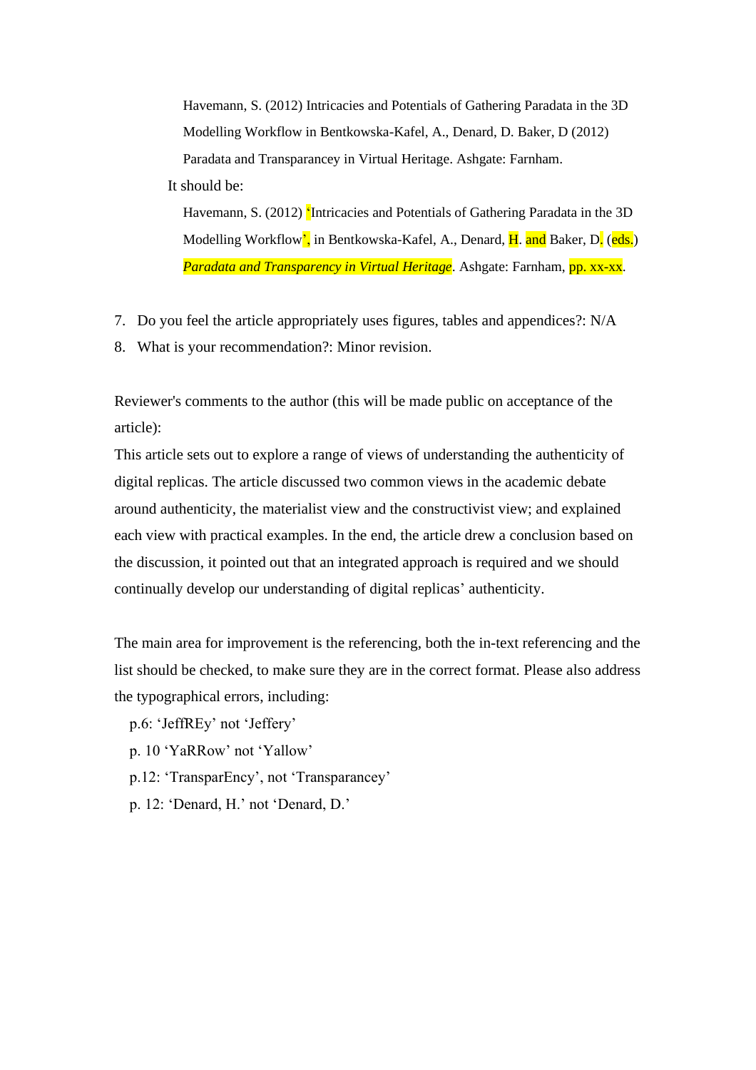Havemann, S. (2012) Intricacies and Potentials of Gathering Paradata in the 3D Modelling Workflow in Bentkowska-Kafel, A., Denard, D. Baker, D (2012) Paradata and Transparancey in Virtual Heritage. Ashgate: Farnham.

It should be:

Havemann, S. (2012) 'Intricacies and Potentials of Gathering Paradata in the 3D Modelling Workflow', in Bentkowska-Kafel, A., Denard, H. and Baker, D. (eds.) *Paradata and Transparency in Virtual Heritage*. Ashgate: Farnham, **pp. xx-xx**.

- 7. Do you feel the article appropriately uses figures, tables and appendices?: N/A
- 8. What is your recommendation?: Minor revision.

Reviewer's comments to the author (this will be made public on acceptance of the article):

This article sets out to explore a range of views of understanding the authenticity of digital replicas. The article discussed two common views in the academic debate around authenticity, the materialist view and the constructivist view; and explained each view with practical examples. In the end, the article drew a conclusion based on the discussion, it pointed out that an integrated approach is required and we should continually develop our understanding of digital replicas' authenticity.

The main area for improvement is the referencing, both the in-text referencing and the list should be checked, to make sure they are in the correct format. Please also address the typographical errors, including:

p.6: 'JeffREy' not 'Jeffery'

- p. 10 'YaRRow' not 'Yallow'
- p.12: 'TransparEncy', not 'Transparancey'
- p. 12: 'Denard, H.' not 'Denard, D.'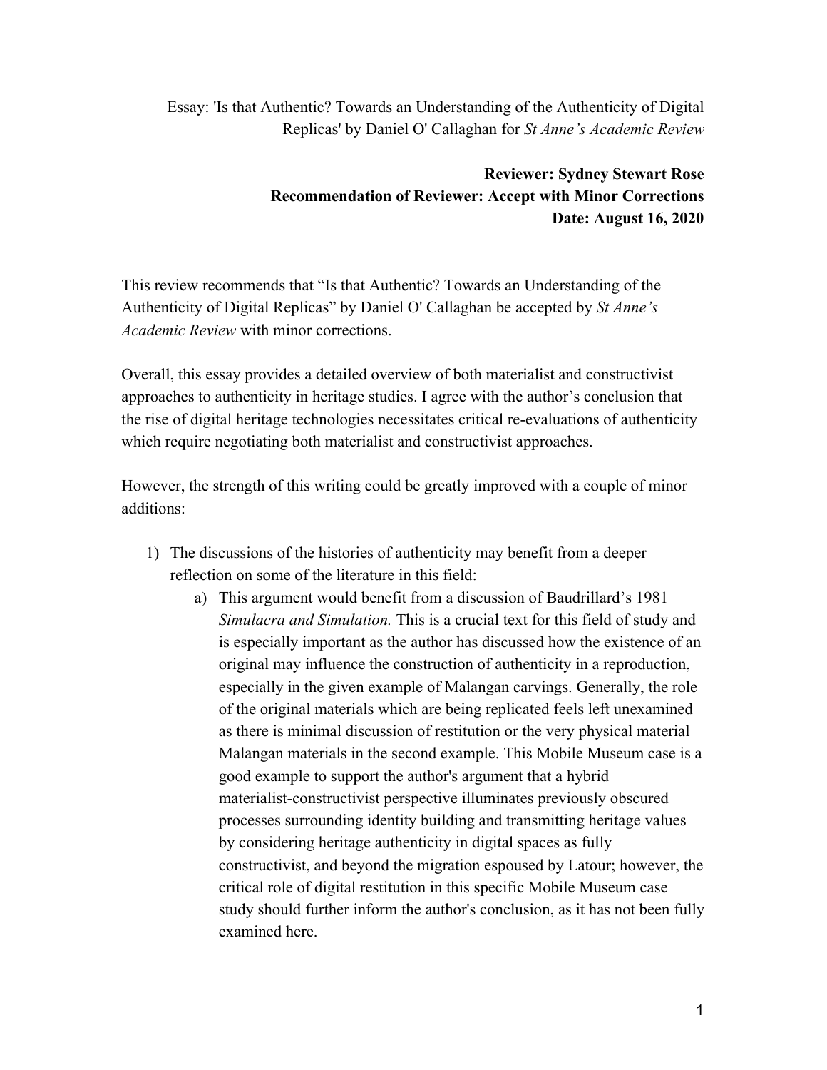Essay: 'Is that Authentic? Towards an Understanding of the Authenticity of Digital Replicas' by Daniel O' Callaghan for *St Anne's Academic Review*

# **Reviewer: Sydney Stewart Rose Recommendation of Reviewer: Accept with Minor Corrections Date: August 16, 2020**

This review recommends that "Is that Authentic? Towards an Understanding of the Authenticity of Digital Replicas" by Daniel O' Callaghan be accepted by *St Anne's Academic Review* with minor corrections.

Overall, this essay provides a detailed overview of both materialist and constructivist approaches to authenticity in heritage studies. I agree with the author's conclusion that the rise of digital heritage technologies necessitates critical re-evaluations of authenticity which require negotiating both materialist and constructivist approaches.

However, the strength of this writing could be greatly improved with a couple of minor additions:

- 1) The discussions of the histories of authenticity may benefit from a deeper reflection on some of the literature in this field:
	- a) This argument would benefit from a discussion of Baudrillard's 1981 *Simulacra and Simulation.* This is a crucial text for this field of study and is especially important as the author has discussed how the existence of an original may influence the construction of authenticity in a reproduction, especially in the given example of Malangan carvings. Generally, the role of the original materials which are being replicated feels left unexamined as there is minimal discussion of restitution or the very physical material Malangan materials in the second example. This Mobile Museum case is a good example to support the author's argument that a hybrid materialist-constructivist perspective illuminates previously obscured processes surrounding identity building and transmitting heritage values by considering heritage authenticity in digital spaces as fully constructivist, and beyond the migration espoused by Latour; however, the critical role of digital restitution in this specific Mobile Museum case study should further inform the author's conclusion, as it has not been fully examined here.